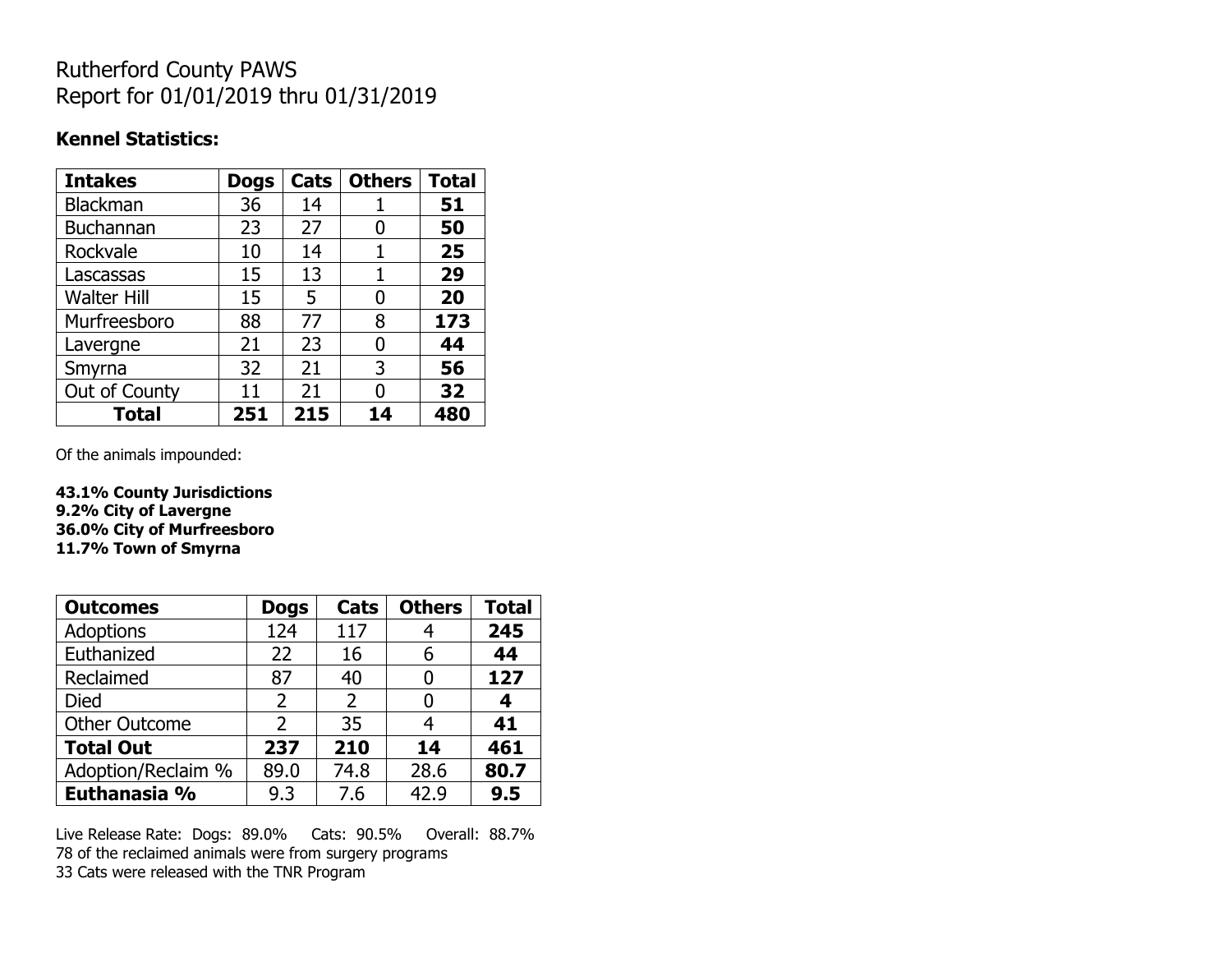## Rutherford County PAWS Report for 01/01/2019 thru 01/31/2019

#### **Kennel Statistics:**

| <b>Intakes</b>     | <b>Dogs</b> | Cats | <b>Others</b> | <b>Total</b> |
|--------------------|-------------|------|---------------|--------------|
| Blackman           | 36          | 14   |               | 51           |
| <b>Buchannan</b>   | 23          | 27   | O             | 50           |
| Rockvale           | 10          | 14   |               | 25           |
| Lascassas          | 15          | 13   | 1             | 29           |
| <b>Walter Hill</b> | 15          | 5    | 0             | 20           |
| Murfreesboro       | 88          | 77   | 8             | 173          |
| Lavergne           | 21          | 23   | O             | 44           |
| Smyrna             | 32          | 21   | 3             | 56           |
| Out of County      | 11          | 21   | U             | 32           |
| <b>Total</b>       | 251         | 215  | 14            | 480          |

Of the animals impounded:

**43.1% County Jurisdictions 9.2% City of Lavergne 36.0% City of Murfreesboro 11.7% Town of Smyrna**

| <b>Outcomes</b>      | <b>Dogs</b>    | Cats | <b>Others</b> | <b>Total</b> |
|----------------------|----------------|------|---------------|--------------|
| Adoptions            | 124            | 117  |               | 245          |
| Euthanized           | 22             | 16   | 6             | 44           |
| Reclaimed            | 87             | 40   |               | 127          |
| <b>Died</b>          | $\overline{2}$ | 2    |               | 4            |
| <b>Other Outcome</b> | 2              | 35   |               | 41           |
| <b>Total Out</b>     | 237            | 210  | 14            | 461          |
| Adoption/Reclaim %   | 89.0           | 74.8 | 28.6          | 80.7         |
| Euthanasia %         | 9.3            | 7.6  | 42.9          | 9.5          |

Live Release Rate: Dogs: 89.0% Cats: 90.5% Overall: 88.7% 78 of the reclaimed animals were from surgery programs 33 Cats were released with the TNR Program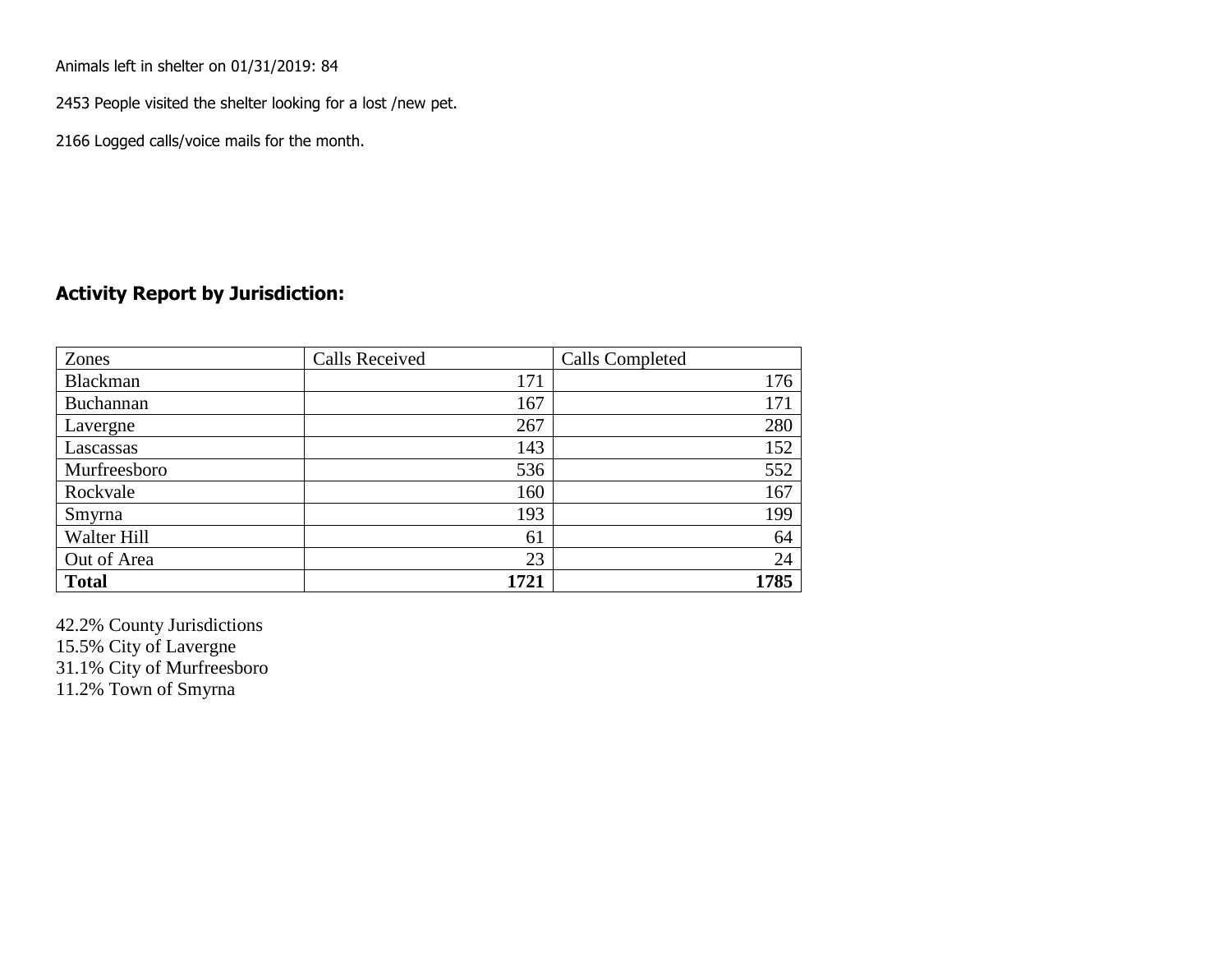Animals left in shelter on 01/31/2019: 84

2453 People visited the shelter looking for a lost /new pet.

2166 Logged calls/voice mails for the month.

### **Activity Report by Jurisdiction:**

| Zones           | <b>Calls Received</b> | Calls Completed |
|-----------------|-----------------------|-----------------|
| <b>Blackman</b> | 171                   | 176             |
| Buchannan       | 167                   | 171             |
| Lavergne        | 267                   | 280             |
| Lascassas       | 143                   | 152             |
| Murfreesboro    | 536                   | 552             |
| Rockvale        | 160                   | 167             |
| Smyrna          | 193                   | 199             |
| Walter Hill     | 61                    | 64              |
| Out of Area     | 23                    | 24              |
| <b>Total</b>    | 1721                  | 1785            |

42.2% County Jurisdictions 15.5% City of Lavergne 31.1% City of Murfreesboro 11.2% Town of Smyrna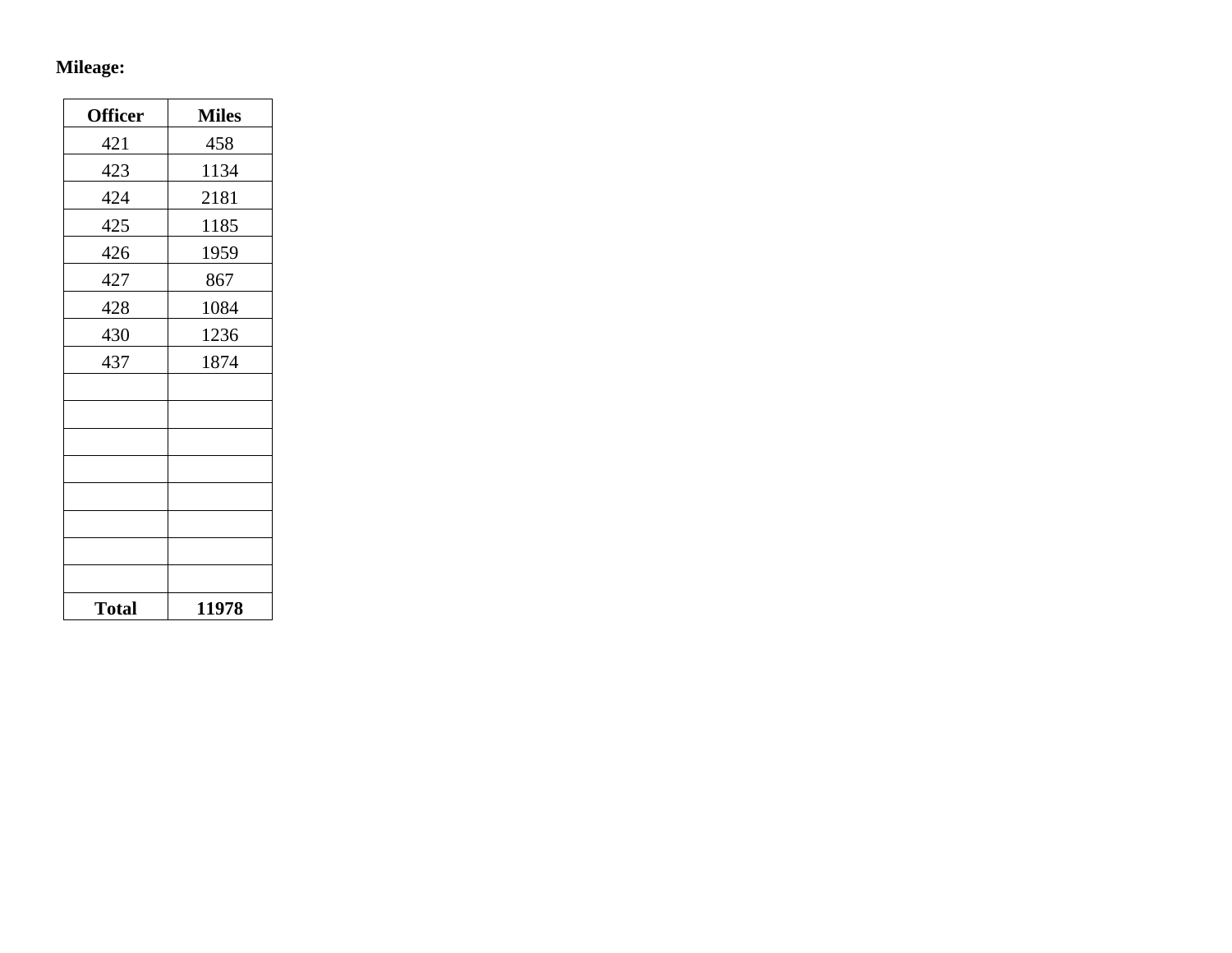## **Mileage:**

| <b>Officer</b> | <b>Miles</b> |
|----------------|--------------|
| 421            | 458          |
| 423            | 1134         |
| 424            | 2181         |
| 425            | 1185         |
| 426            | 1959         |
| 427            | 867          |
| 428            | 1084         |
| 430            | 1236         |
| 437            | 1874         |
|                |              |
|                |              |
|                |              |
|                |              |
|                |              |
|                |              |
|                |              |
|                |              |
| <b>Total</b>   | 11978        |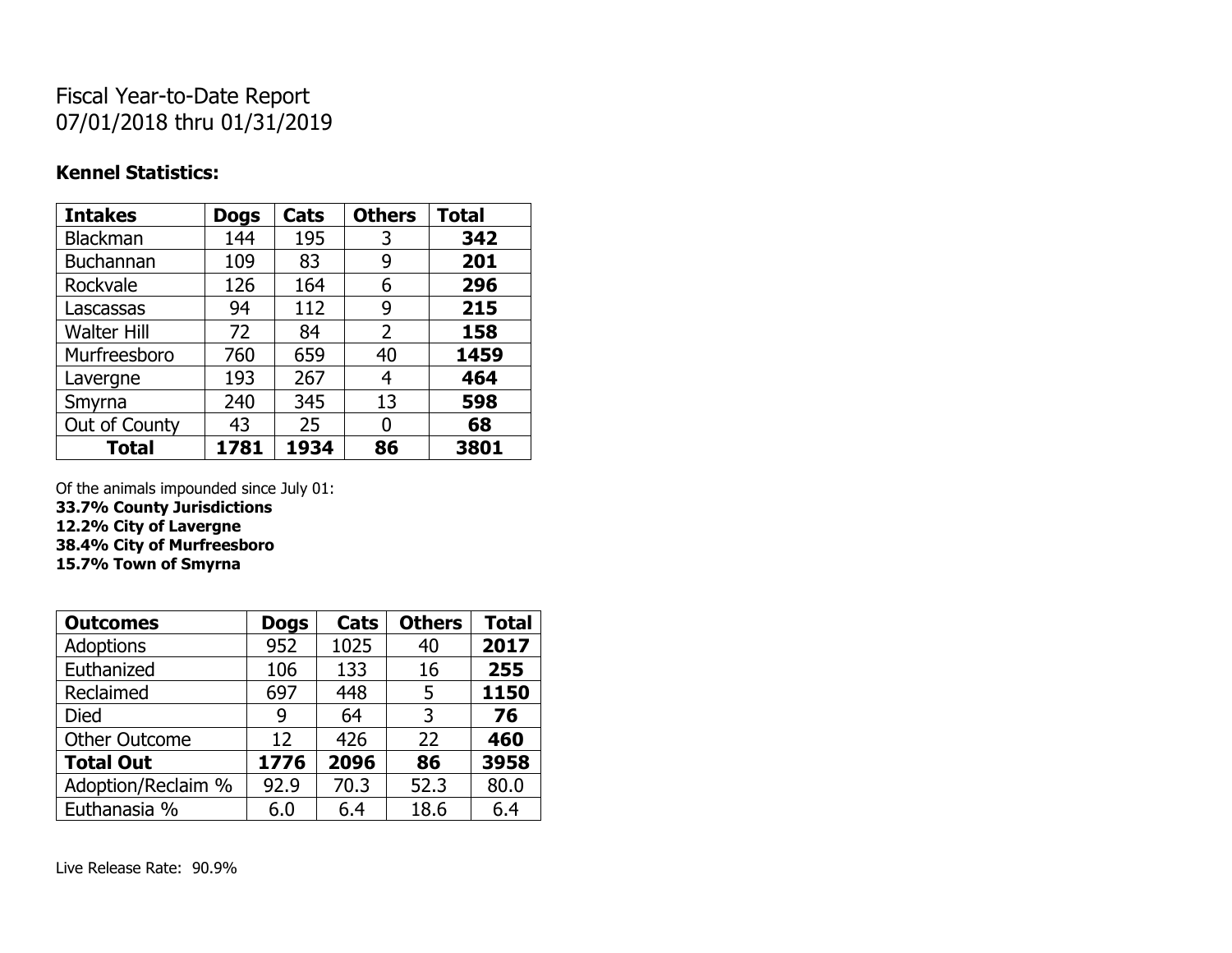# Fiscal Year-to-Date Report 07/01/2018 thru 01/31/2019

### **Kennel Statistics:**

| <b>Intakes</b>     | <b>Dogs</b> | Cats | <b>Others</b>  | <b>Total</b> |
|--------------------|-------------|------|----------------|--------------|
| Blackman           | 144         | 195  | 3              | 342          |
| <b>Buchannan</b>   | 109         | 83   | 9              | 201          |
| Rockvale           | 126         | 164  | 6              | 296          |
| Lascassas          | 94          | 112  | 9              | 215          |
| <b>Walter Hill</b> | 72          | 84   | $\overline{2}$ | 158          |
| Murfreesboro       | 760         | 659  | 40             | 1459         |
| Lavergne           | 193         | 267  | 4              | 464          |
| Smyrna             | 240         | 345  | 13             | 598          |
| Out of County      | 43          | 25   | 0              | 68           |
| <b>Total</b>       | 1781        | 1934 | 86             | 3801         |

Of the animals impounded since July 01:

**33.7% County Jurisdictions**

**12.2% City of Lavergne 38.4% City of Murfreesboro**

**15.7% Town of Smyrna**

| <b>Outcomes</b>      | <b>Dogs</b> | Cats | <b>Others</b> | <b>Total</b> |
|----------------------|-------------|------|---------------|--------------|
| <b>Adoptions</b>     | 952         | 1025 | 40            | 2017         |
| Euthanized           | 106         | 133  | 16            | 255          |
| Reclaimed            | 697         | 448  | 5             | 1150         |
| Died                 | 9           | 64   | 3             | 76           |
| <b>Other Outcome</b> | 12          | 426  | 22            | 460          |
| <b>Total Out</b>     | 1776        | 2096 | 86            | 3958         |
| Adoption/Reclaim %   | 92.9        | 70.3 | 52.3          | 80.0         |
| Euthanasia %         | 6.0         | 6.4  | 18.6          | 6.4          |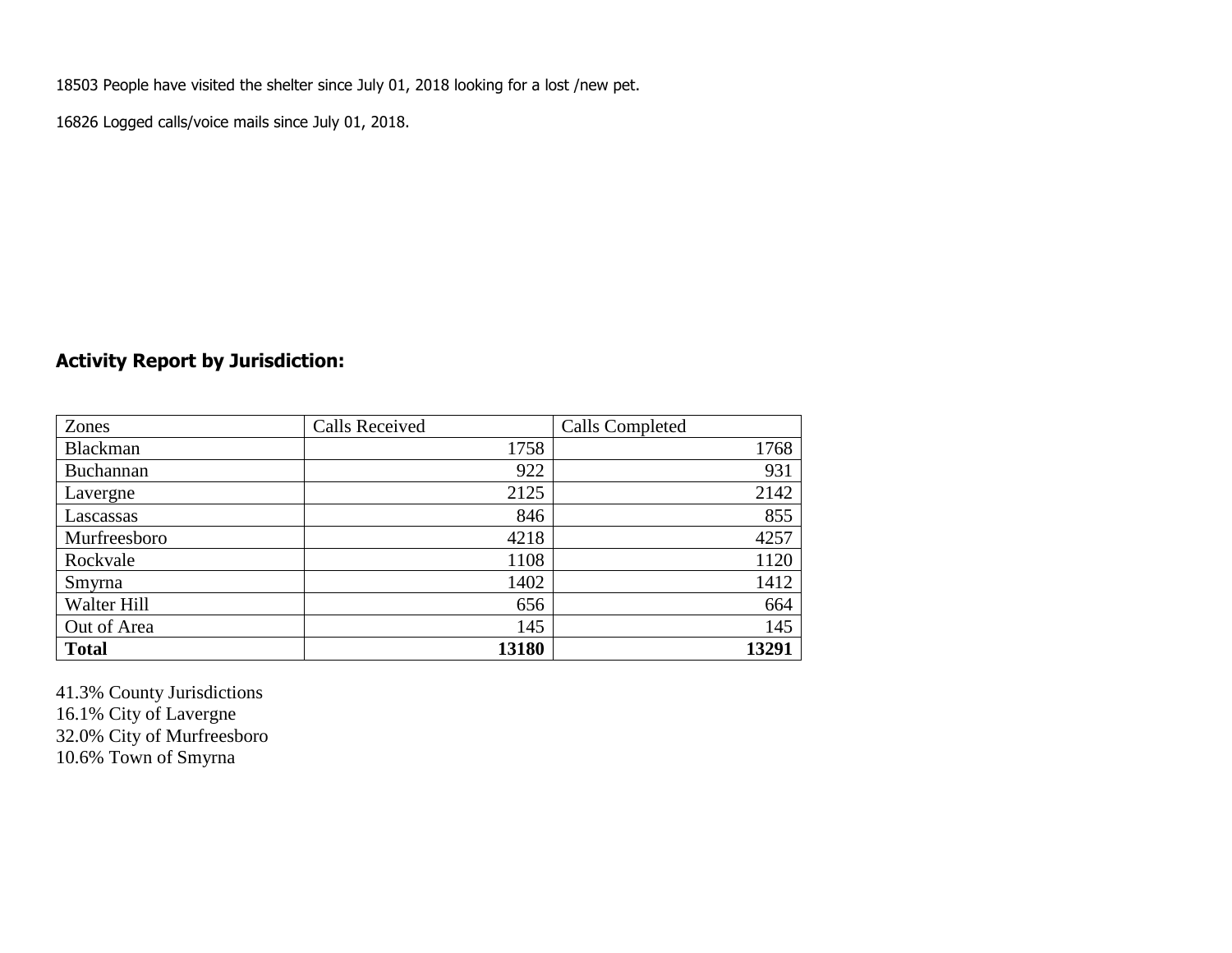18503 People have visited the shelter since July 01, 2018 looking for a lost /new pet.

16826 Logged calls/voice mails since July 01, 2018.

## **Activity Report by Jurisdiction:**

| Zones           | <b>Calls Received</b> | Calls Completed |
|-----------------|-----------------------|-----------------|
| <b>Blackman</b> | 1758                  | 1768            |
| Buchannan       | 922                   | 931             |
| Lavergne        | 2125                  | 2142            |
| Lascassas       | 846                   | 855             |
| Murfreesboro    | 4218                  | 4257            |
| Rockvale        | 1108                  | 1120            |
| Smyrna          | 1402                  | 1412            |
| Walter Hill     | 656                   | 664             |
| Out of Area     | 145                   | 145             |
| <b>Total</b>    | 13180                 | 13291           |

41.3% County Jurisdictions 16.1% City of Lavergne 32.0% City of Murfreesboro 10.6% Town of Smyrna